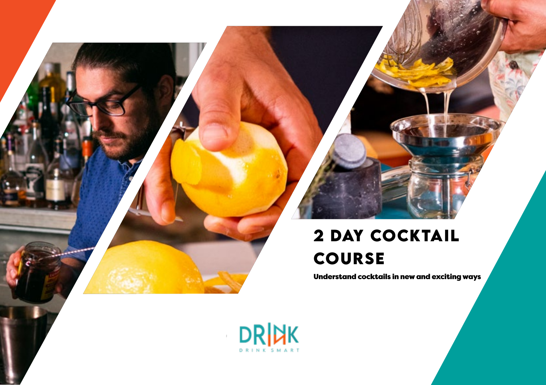### **2 Day Cocktail course**

Understand cocktails in new and exciting ways

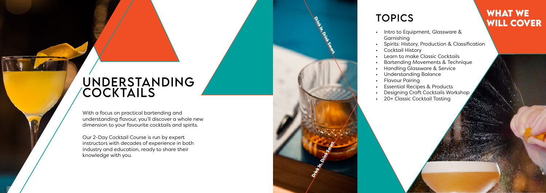With a focus on practical bartending and understanding flavour, you'll discover a whole new dimension to your favourite cocktails and spirits.

Our 2-Day Cocktail Course is run by expert instructors with decades of experience in both industry and education, ready to share their knowledge with you.

## **TOPICS**

• Intro to Equipment, Glassware &

- Garnishing
- 
- Cocktail History • Learn to make Classic Cocktails
- 
- 
- 
- 
- Flavour Pairing
- 

Drink Smart. Drink Smart, Drink Smart, Drink In, Drink Smart, Drink Smart, Drink Smart, Drink Smart, Drink Smart

- 
- 

# **WHAT WE<br>WILL COVER**

- Spirits: History, Production & Classification
- Bartending Movements & Technique
- Handling Glassware & Service
- Understanding Balance
	-
- Essential Recipes & Products
- Designing Craft Cocktails Workshop
- 20+ Classic Cocktail Tasting

## Unders tanding Cock tails